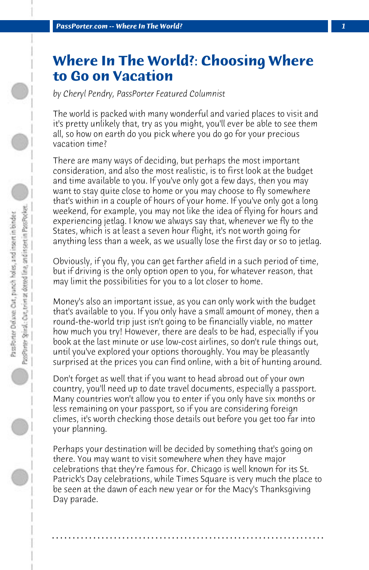## **Where In The World?: Choosing Where to Go on Vacation**

*by Cheryl Pendry, PassPorter Featured Columnist*

The world is packed with many wonderful and varied places to visit and it's pretty unlikely that, try as you might, you'll ever be able to see them all, so how on earth do you pick where you do go for your precious vacation time?

There are many ways of deciding, but perhaps the most important consideration, and also the most realistic, is to first look at the budget and time available to you. If you've only got a few days, then you may want to stay quite close to home or you may choose to fly somewhere that's within in a couple of hours of your home. If you've only got a long weekend, for example, you may not like the idea of flying for hours and experiencing jetlag. I know we always say that, whenever we fly to the States, which is at least a seven hour flight, it's not worth going for anything less than a week, as we usually lose the first day or so to jetlag.

Obviously, if you fly, you can get farther afield in a such period of time, but if driving is the only option open to you, for whatever reason, that may limit the possibilities for you to a lot closer to home.

Money's also an important issue, as you can only work with the budget that's available to you. If you only have a small amount of money, then a round-the-world trip just isn't going to be financially viable, no matter how much you try! However, there are deals to be had, especially if you book at the last minute or use low-cost airlines, so don't rule things out, until you've explored your options thoroughly. You may be pleasantly surprised at the prices you can find online, with a bit of hunting around.

Don't forget as well that if you want to head abroad out of your own country, you'll need up to date travel documents, especially a passport. Many countries won't allow you to enter if you only have six months or less remaining on your passport, so if you are considering foreign climes, it's worth checking those details out before you get too far into your planning.

Perhaps your destination will be decided by something that's going on there. You may want to visit somewhere when they have major celebrations that they're famous for. Chicago is well known for its St. Patrick's Day celebrations, while Times Square is very much the place to be seen at the dawn of each new year or for the Macy's Thanksgiving Day parade.

**. . . . . . . . . . . . . . . . . . . . . . . . . . . . . . . . . . . . . . . . . . . . . . . . . . . . . . . . . . . . . . . . . .**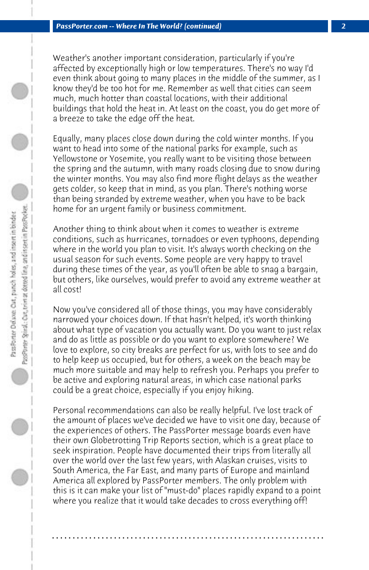Weather's another important consideration, particularly if you're affected by exceptionally high or low temperatures. There's no way I'd even think about going to many places in the middle of the summer, as I know they'd be too hot for me. Remember as well that cities can seem much, much hotter than coastal locations, with their additional buildings that hold the heat in. At least on the coast, you do get more of a breeze to take the edge off the heat.

Equally, many places close down during the cold winter months. If you want to head into some of the national parks for example, such as Yellowstone or Yosemite, you really want to be visiting those between the spring and the autumn, with many roads closing due to snow during the winter months. You may also find more flight delays as the weather gets colder, so keep that in mind, as you plan. There's nothing worse than being stranded by extreme weather, when you have to be back home for an urgent family or business commitment.

Another thing to think about when it comes to weather is extreme conditions, such as hurricanes, tornadoes or even typhoons, depending where in the world you plan to visit. It's always worth checking on the usual season for such events. Some people are very happy to travel during these times of the year, as you'll often be able to snag a bargain, but others, like ourselves, would prefer to avoid any extreme weather at all cost!

Now you've considered all of those things, you may have considerably narrowed your choices down. If that hasn't helped, it's worth thinking about what type of vacation you actually want. Do you want to just relax and do as little as possible or do you want to explore somewhere? We love to explore, so city breaks are perfect for us, with lots to see and do to help keep us occupied, but for others, a week on the beach may be much more suitable and may help to refresh you. Perhaps you prefer to be active and exploring natural areas, in which case national parks could be a great choice, especially if you enjoy hiking.

Personal recommendations can also be really helpful. I've lost track of the amount of places we've decided we have to visit one day, because of the experiences of others. The PassPorter message boards even have their own Globetrotting Trip Reports section, which is a great place to seek inspiration. People have documented their trips from literally all over the world over the last few years, with Alaskan cruises, visits to South America, the Far East, and many parts of Europe and mainland America all explored by PassPorter members. The only problem with this is it can make your list of "must-do" places rapidly expand to a point where you realize that it would take decades to cross everything off!

**. . . . . . . . . . . . . . . . . . . . . . . . . . . . . . . . . . . . . . . . . . . . . . . . . . . . . . . . . . . . . . . . . .**